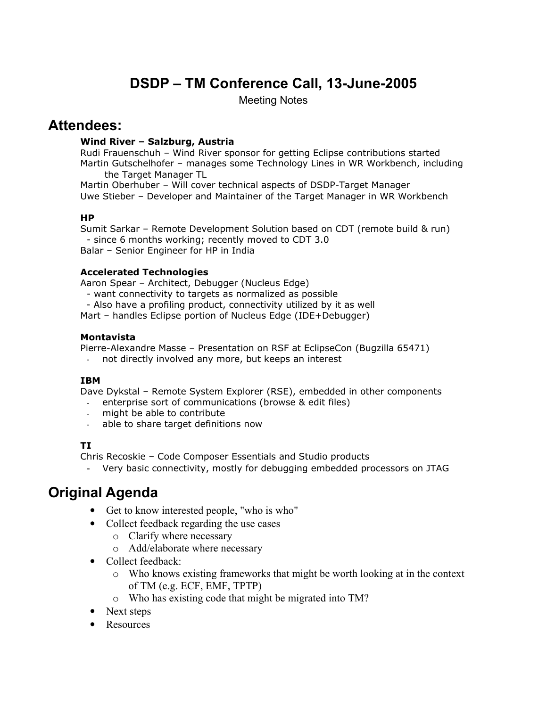# DSDP – TM Conference Call, 13-June-2005

Meeting Notes

# Attendees:

#### Wind River – Salzburg, Austria

Rudi Frauenschuh – Wind River sponsor for getting Eclipse contributions started Martin Gutschelhofer – manages some Technology Lines in WR Workbench, including the Target Manager TL

Martin Oberhuber – Will cover technical aspects of DSDP-Target Manager Uwe Stieber – Developer and Maintainer of the Target Manager in WR Workbench

#### HP

Sumit Sarkar – Remote Development Solution based on CDT (remote build & run) - since 6 months working; recently moved to CDT 3.0 Balar – Senior Engineer for HP in India

### Accelerated Technologies

Aaron Spear – Architect, Debugger (Nucleus Edge)

- want connectivity to targets as normalized as possible

- Also have a profiling product, connectivity utilized by it as well

Mart – handles Eclipse portion of Nucleus Edge (IDE+Debugger)

### Montavista

Pierre-Alexandre Masse – Presentation on RSF at EclipseCon (Bugzilla 65471)

not directly involved any more, but keeps an interest

# **TRM**

Dave Dykstal – Remote System Explorer (RSE), embedded in other components

- enterprise sort of communications (browse & edit files)
- might be able to contribute
- able to share target definitions now

# TI

Chris Recoskie – Code Composer Essentials and Studio products

- Very basic connectivity, mostly for debugging embedded processors on JTAG

# Original Agenda

- Get to know interested people, "who is who"
- Collect feedback regarding the use cases
	- o Clarify where necessary
	- o Add/elaborate where necessary
- Collect feedback:
	- o Who knows existing frameworks that might be worth looking at in the context of TM (e.g. ECF, EMF, TPTP)
	- o Who has existing code that might be migrated into TM?
- Next steps
- Resources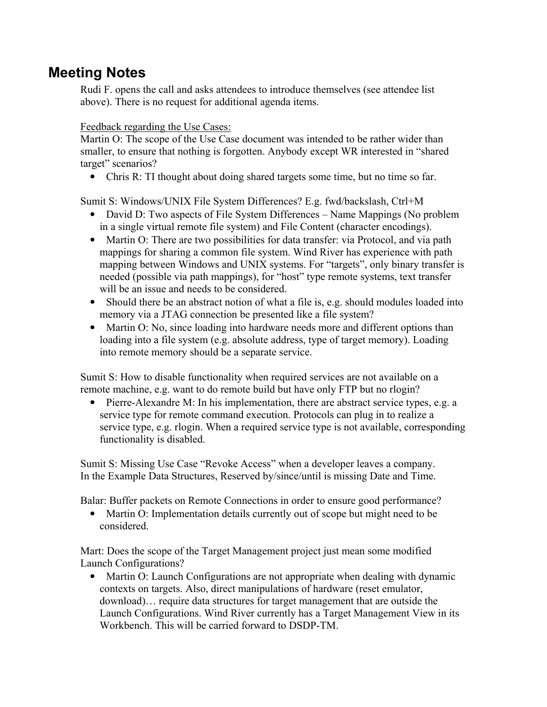# Meeting Notes

Rudi F. opens the call and asks attendees to introduce themselves (see attendee list above). There is no request for additional agenda items.

### Feedback regarding the Use Cases:

Martin O: The scope of the Use Case document was intended to be rather wider than smaller, to ensure that nothing is forgotten. Anybody except WR interested in "shared target" scenarios?

• Chris R: TI thought about doing shared targets some time, but no time so far.

Sumit S: Windows/UNIX File System Differences? E.g. fwd/backslash, Ctrl+M

- David D: Two aspects of File System Differences Name Mappings (No problem in a single virtual remote file system) and File Content (character encodings).
- Martin O: There are two possibilities for data transfer: via Protocol, and via path mappings for sharing a common file system. Wind River has experience with path mapping between Windows and UNIX systems. For "targets", only binary transfer is needed (possible via path mappings), for "host" type remote systems, text transfer will be an issue and needs to be considered.
- Should there be an abstract notion of what a file is, e.g. should modules loaded into memory via a JTAG connection be presented like a file system?
- Martin O: No, since loading into hardware needs more and different options than loading into a file system (e.g. absolute address, type of target memory). Loading into remote memory should be a separate service.

Sumit S: How to disable functionality when required services are not available on a remote machine, e.g. want to do remote build but have only FTP but no rlogin?

• Pierre-Alexandre M: In his implementation, there are abstract service types, e.g. a service type for remote command execution. Protocols can plug in to realize a service type, e.g. rlogin. When a required service type is not available, corresponding functionality is disabled.

Sumit S: Missing Use Case "Revoke Access" when a developer leaves a company. In the Example Data Structures, Reserved by/since/until is missing Date and Time.

Balar: Buffer packets on Remote Connections in order to ensure good performance?

• Martin O: Implementation details currently out of scope but might need to be considered.

Mart: Does the scope of the Target Management project just mean some modified Launch Configurations?

• Martin O: Launch Configurations are not appropriate when dealing with dynamic contexts on targets. Also, direct manipulations of hardware (reset emulator, download)… require data structures for target management that are outside the Launch Configurations. Wind River currently has a Target Management View in its Workbench. This will be carried forward to DSDP-TM.